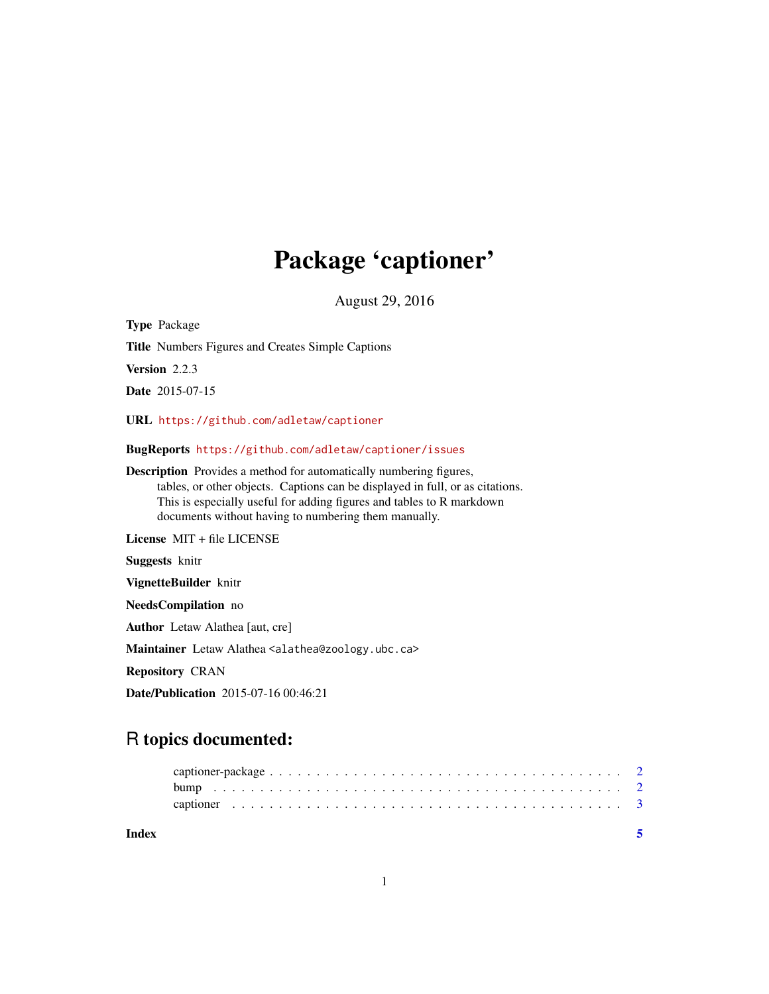## Package 'captioner'

August 29, 2016

Type Package Title Numbers Figures and Creates Simple Captions Version 2.2.3 Date 2015-07-15 URL <https://github.com/adletaw/captioner> BugReports <https://github.com/adletaw/captioner/issues> Description Provides a method for automatically numbering figures, tables, or other objects. Captions can be displayed in full, or as citations. This is especially useful for adding figures and tables to R markdown documents without having to numbering them manually. License MIT + file LICENSE Suggests knitr VignetteBuilder knitr NeedsCompilation no Author Letaw Alathea [aut, cre] Maintainer Letaw Alathea <alathea@zoology.ubc.ca>

Repository CRAN

Date/Publication 2015-07-16 00:46:21

### R topics documented:

**Index** [5](#page-4-0). The second state of the second state of the second state of the second state of the second state of the second state of the second state of the second state of the second state of the second state of the second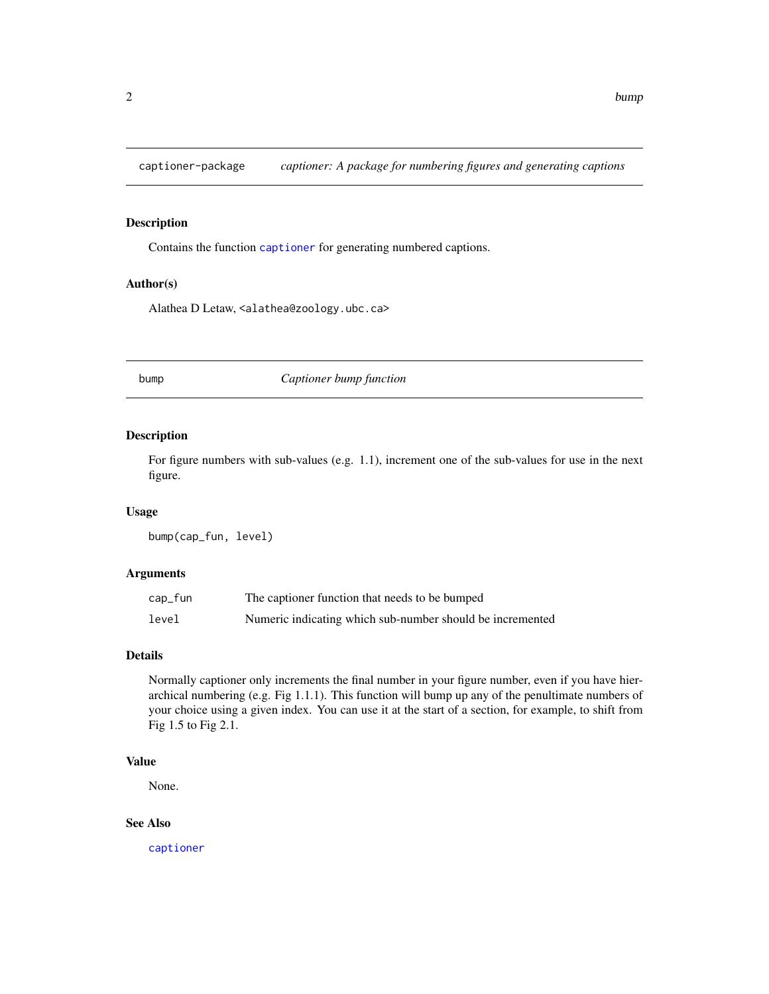<span id="page-1-0"></span>captioner-package *captioner: A package for numbering figures and generating captions*

#### Description

Contains the function [captioner](#page-2-1) for generating numbered captions.

#### Author(s)

Alathea D Letaw, <alathea@zoology.ubc.ca>

<span id="page-1-1"></span>bump *Captioner bump function*

#### Description

For figure numbers with sub-values (e.g. 1.1), increment one of the sub-values for use in the next figure.

#### Usage

bump(cap\_fun, level)

#### Arguments

| cap_fun | The captioner function that needs to be bumped            |
|---------|-----------------------------------------------------------|
| level   | Numeric indicating which sub-number should be incremented |

#### Details

Normally captioner only increments the final number in your figure number, even if you have hierarchical numbering (e.g. Fig 1.1.1). This function will bump up any of the penultimate numbers of your choice using a given index. You can use it at the start of a section, for example, to shift from Fig 1.5 to Fig 2.1.

#### Value

None.

#### See Also

[captioner](#page-2-1)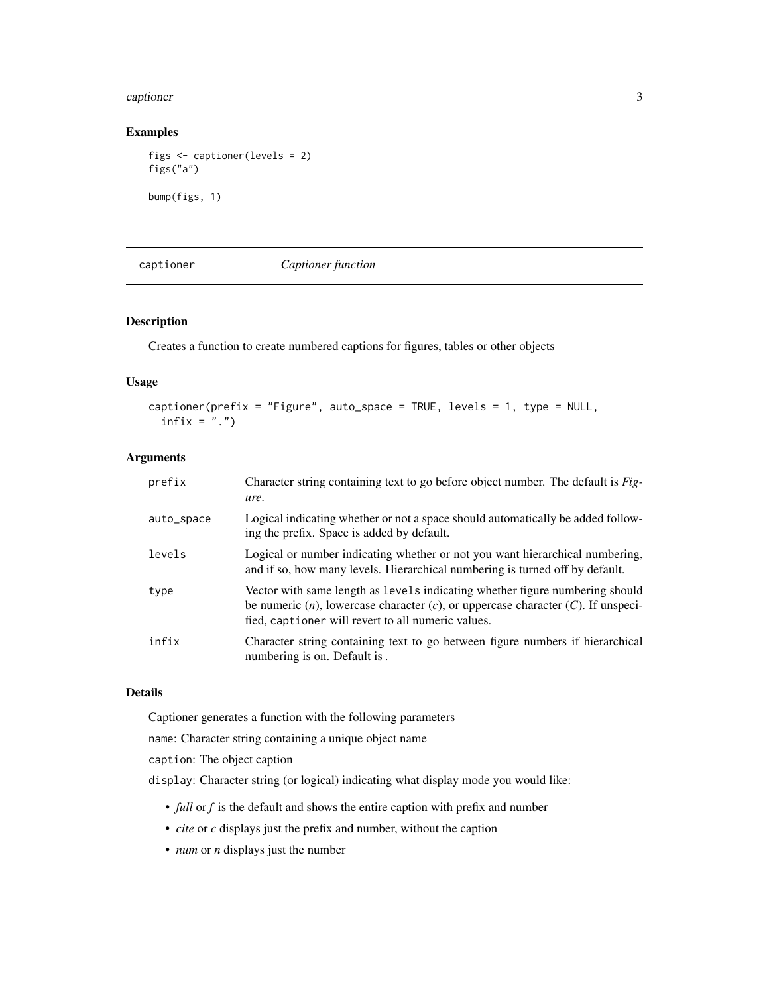#### <span id="page-2-0"></span>captioner 3

#### Examples

```
figs <- captioner(levels = 2)
figs("a")
bump(figs, 1)
```
<span id="page-2-1"></span>

captioner *Captioner function*

#### Description

Creates a function to create numbered captions for figures, tables or other objects

#### Usage

```
captioner(prefix = "Figure", auto_space = TRUE, levels = 1, type = NULL,
  infix = "."
```
#### Arguments

| prefix     | Character string containing text to go before object number. The default is <i>Fig-</i><br>ure.                                                                                                                                 |
|------------|---------------------------------------------------------------------------------------------------------------------------------------------------------------------------------------------------------------------------------|
| auto_space | Logical indicating whether or not a space should automatically be added follow-<br>ing the prefix. Space is added by default.                                                                                                   |
| levels     | Logical or number indicating whether or not you want hierarchical numbering,<br>and if so, how many levels. Hierarchical numbering is turned off by default.                                                                    |
| type       | Vector with same length as levels indicating whether figure numbering should<br>be numeric $(n)$ , lowercase character $(c)$ , or uppercase character $(C)$ . If unspeci-<br>fied, captioner will revert to all numeric values. |
| infix      | Character string containing text to go between figure numbers if hierarchical<br>numbering is on. Default is.                                                                                                                   |

#### Details

Captioner generates a function with the following parameters

name: Character string containing a unique object name

caption: The object caption

display: Character string (or logical) indicating what display mode you would like:

- *full* or *f* is the default and shows the entire caption with prefix and number
- *cite* or *c* displays just the prefix and number, without the caption
- *num* or *n* displays just the number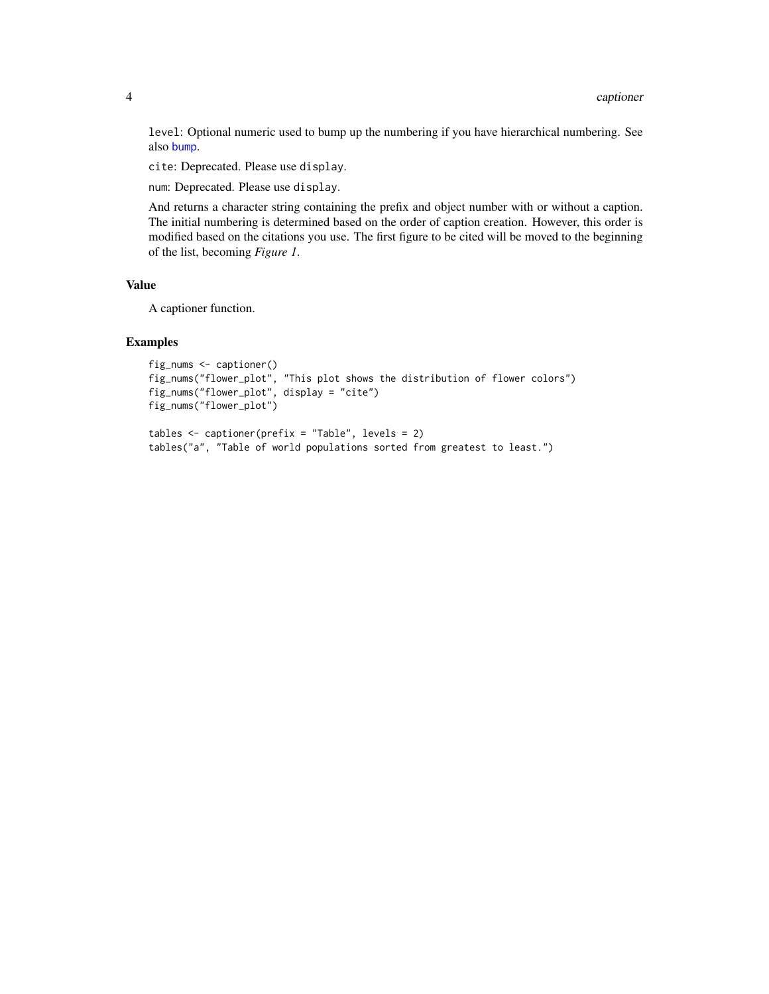<span id="page-3-0"></span>level: Optional numeric used to bump up the numbering if you have hierarchical numbering. See also [bump](#page-1-1).

cite: Deprecated. Please use display.

num: Deprecated. Please use display.

And returns a character string containing the prefix and object number with or without a caption. The initial numbering is determined based on the order of caption creation. However, this order is modified based on the citations you use. The first figure to be cited will be moved to the beginning of the list, becoming *Figure 1*.

#### Value

A captioner function.

#### Examples

```
fig_nums <- captioner()
fig_nums("flower_plot", "This plot shows the distribution of flower colors")
fig_nums("flower_plot", display = "cite")
fig_nums("flower_plot")
```

```
tables <- captioner(prefix = "Table", levels = 2)
tables("a", "Table of world populations sorted from greatest to least.")
```